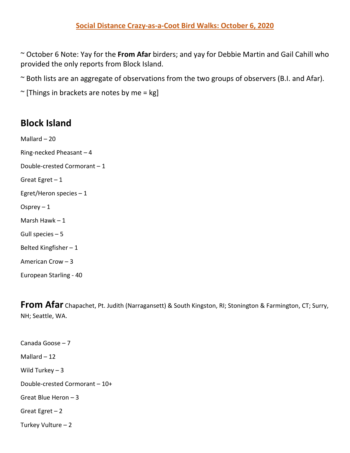~ October 6 Note: Yay for the **From Afar** birders; and yay for Debbie Martin and Gail Cahill who provided the only reports from Block Island.

~ Both lists are an aggregate of observations from the two groups of observers (B.I. and Afar).

 $\sim$  [Things in brackets are notes by me = kg]

## **Block Island**

Mallard – 20 Ring-necked Pheasant – 4 Double-crested Cormorant – 1 Great Egret  $-1$ Egret/Heron species  $-1$ Osprey  $-1$ Marsh Hawk – 1 Gull species – 5 Belted Kingfisher – 1 American Crow – 3

European Starling - 40

**From Afar** Chapachet, Pt. Judith (Narragansett) & South Kingston, RI; Stonington & Farmington, CT; Surry, NH; Seattle, WA.

Canada Goose – 7 Mallard  $-12$ Wild Turkey  $-3$ Double-crested Cormorant – 10+ Great Blue Heron – 3 Great Egret  $-2$ Turkey Vulture – 2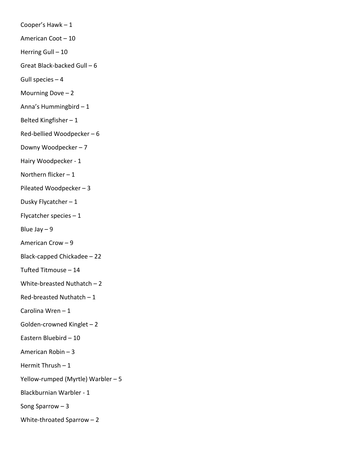Cooper's Hawk – 1 American Coot – 10 Herring Gull - 10 Great Black-backed Gull – 6 Gull species  $-4$ Mourning Dove  $-2$ Anna's Hummingbird – 1 Belted Kingfisher – 1 Red-bellied Woodpecker – 6 Downy Woodpecker – 7 Hairy Woodpecker - 1 Northern flicker  $-1$ Pileated Woodpecker – 3 Dusky Flycatcher – 1 Flycatcher species – 1 Blue Jay  $-9$ American Crow – 9 Black-capped Chickadee – 22 Tufted Titmouse – 14 White-breasted Nuthatch – 2 Red-breasted Nuthatch – 1 Carolina Wren – 1 Golden-crowned Kinglet – 2 Eastern Bluebird – 10 American Robin – 3 Hermit Thrush – 1 Yellow-rumped (Myrtle) Warbler – 5 Blackburnian Warbler - 1 Song Sparrow – 3 White-throated Sparrow – 2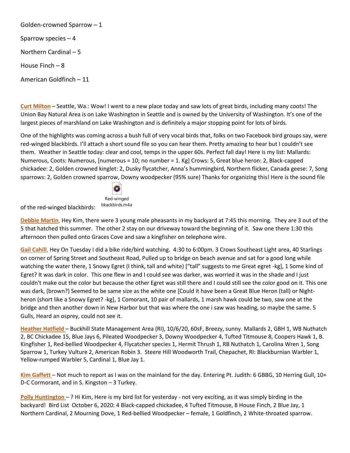Golden-crowned Sparrow – 1 Sparrow species – 4 Northern Cardinal – 5 House Finch – 8 American Goldfinch – 11

**Curt Milton** – Seattle, Wa.: Wow! I went to a new place today and saw lots of great birds, including many coots! The Union Bay Natural Area is on Lake Washington in Seattle and is owned by the University of Washington. It's one of the largest pieces of marshland on Lake Washington and is definitely a major stopping point for lots of birds.

One of the highlights was coming across a bush full of very vocal birds that, folks on two Facebook bird groups say, were red-winged blackbirds. I'll attach a short sound file so you can hear them. Pretty amazing to hear but I couldn't see them. Weather in Seattle today: clear and cool, temps in the upper 60s. Perfect fall day! Here is my list: Mallards: Numerous, Coots: Numerous, [numerous = 10; no number = 1. Kg] Crows: 5, Great blue heron: 2, Black-capped chickadee: 2, Golden crowned kinglet: 2, Dusky flycatcher, Anna's hummingbird, Northern flicker, Canada geese: 7, Song sparrows: 2, Golden crowned sparrow, Downy woodpecker (95% sure) Thanks for organizing this! Here is the sound file



of the red-winged blackbirds:

**Debbie Martin**, Hey Kim, there were 3 young male pheasants in my backyard at 7:45 this morning. They are 3 out of the 5 that hatched this summer. The other 2 stay on our driveway toward the beginning of it. Saw one there 1:30 this afternoon then pulled onto Graces Cove and saw a kingfisher on telephone wire.

**Gail Cahill**, Hey On Tuesday I did a bike ride/bird watching. 4:30 to 6:00pm. 3 Crows Southeast Light area, 40 Starlings on corner of Spring Street and Southeast Road, Pulled up to bridge on beach avenue and sat for a good long while watching the water there, 1 Snowy Egret (I think, tall and white) ["tall" suggests to me Great egret -kg], 1 Some kind of Egret? It was dark in color. This one flew in and I could see was darker, was worried it was in the shade and I just couldn't make out the color but because the other Egret was still there and I could still see the color good on it. This one was dark, (brown?) Seemed to be same size as the white one [Could it have been a Great Blue Heron (tall) or Nightheron (short like a Snowy Egret? -kg], 1 Comorant, 10 pair of mallards, 1 marsh hawk could be two, saw one at the bridge and then another down in New Harbor but that was where the one i saw was heading, so maybe the same. 5 Gulls, Heard an osprey, could not see it.

**Heather Hatfield** – Buckhill State Management Area (RI), 10/6/20, 60sF, Breezy, sunny. Mallards 2, GBH 1, WB Nuthatch 2, BC Chickadee 15, Blue Jays 6, Pileated Woodpecker 3, Downy Woodpecker 4, Tufted Titmouse 8, Coopers Hawk 1, B. Kingfisher 1, Red-bellied Woodpecker 4, Flycatcher species 1, Hermit Thrush 1, RB Nuthatch 1, Carolina Wren 1, Song Sparrow 1, Turkey Vulture 2, American Robin 3. Steere Hill Woodworth Trail, Chepachet, RI: Blackburnian Warbler 1, Yellow-rumped Warbler 5, Cardinal 1, Blue Jay 1.

**Kim Gaffett** – Not much to report as I was on the mainland for the day. Entering Pt. Judith: 6 GBBG, 10 Herring Gull, 10+ D-C Cormorant, and in S. Kingston – 3 Turkey.

**Polly Huntington** – ? Hi Kim, Here is my bird list for yesterday - not very exciting, as it was simply birding in the backyard! Bird List October 6, 2020: 4 Black-capped chickadee, 4 Tufted Titmouse, 8 House Finch, 2 Blue Jay, 1 Northern Cardinal, 2 Mourning Dove, 1 Red-bellied Woodpecker – female, 1 Goldfinch, 2 White-throated sparrow.